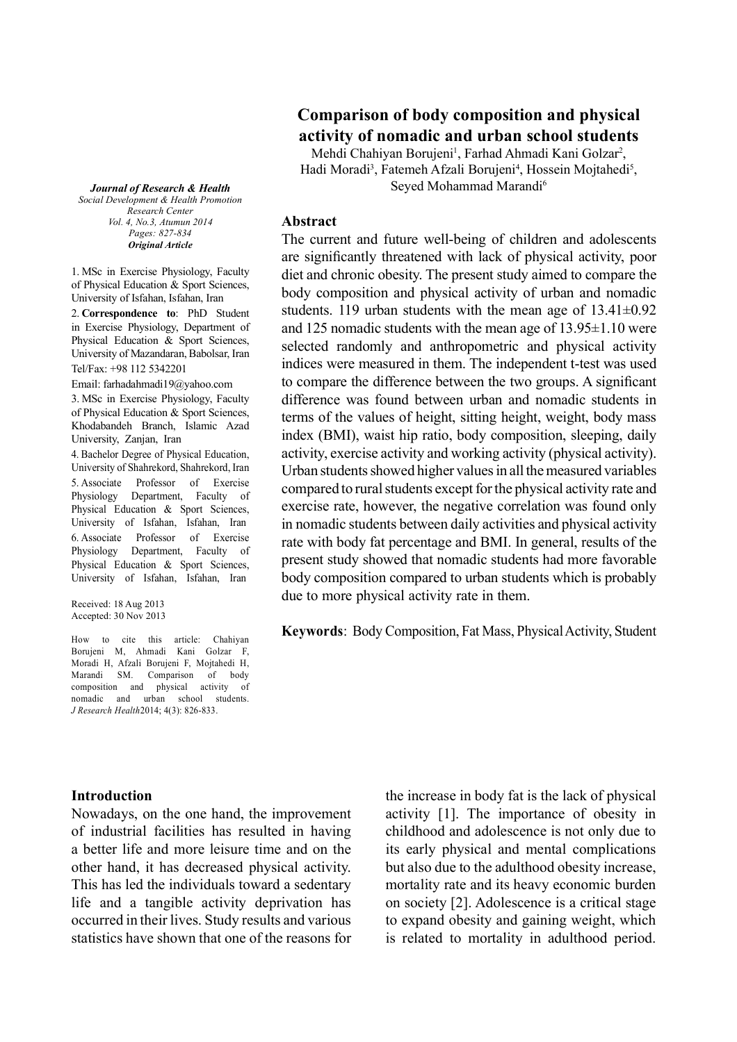# **Comparison of body composition and physical activity of nomadic and urban school students**

Mehdi Chahiyan Borujeni<sup>1</sup>, Farhad Ahmadi Kani Golzar<sup>2</sup>, Hadi Moradi<sup>3</sup>, Fatemeh Afzali Borujeni<sup>4</sup>, Hossein Mojtahedi<sup>5</sup>, Seved Mohammad Marandi<sup>6</sup>

*Journal of Research & Health Social Development & Health Promotion Research Center Vol. 4, No.3, Atumun 2014 Pages: 827-834 Original Article*

1. MSc in Exercise Physiology, Faculty of Physical Education & Sport Sciences, University of Isfahan, Isfahan, Iran

2. **Correspondence to**: PhD Student in Exercise Physiology, Department of Physical Education & Sport Sciences, University of Mazandaran, Babolsar, Iran Tel/Fax: +98 112 5342201

Email: farhadahmadi19@yahoo.com 3. MSc in Exercise Physiology, Faculty of Physical Education & Sport Sciences, Khodabandeh Branch, Islamic Azad University, Zanjan, Iran

4. Bachelor Degree of Physical Education, University of Shahrekord, Shahrekord, Iran 5. Associate Professor of Exercise Physiology Department, Faculty of Physical Education & Sport Sciences, University of Isfahan, Isfahan, Iran 6. Associate Professor of Exercise Physiology Department, Faculty of Physical Education & Sport Sciences, University of Isfahan, Isfahan, Iran

Received: 18 Aug 2013 Accepted: 30 Nov 2013

How to cite this article: Chahiyan Borujeni M, Ahmadi Kani Golzar F, Moradi H, Afzali Borujeni F, Mojtahedi H, Marandi SM. Comparison of body composition and physical activity of nomadic and urban school students. *J Research Health*2014; 4(3): 826-833.

**Abstract**

The current and future well-being of children and adolescents are significantly threatened with lack of physical activity, poor diet and chronic obesity. The present study aimed to compare the body composition and physical activity of urban and nomadic students. 119 urban students with the mean age of  $13.41\pm0.92$ and 125 nomadic students with the mean age of 13.95±1.10 were selected randomly and anthropometric and physical activity indices were measured in them. The independent t-test was used to compare the difference between the two groups. A significant difference was found between urban and nomadic students in terms of the values of height, sitting height, weight, body mass index (BMI), waist hip ratio, body composition, sleeping, daily activity, exercise activity and working activity (physical activity). Urban students showed higher values in all the measured variables compared to rural students except for the physical activity rate and exercise rate, however, the negative correlation was found only in nomadic students between daily activities and physical activity rate with body fat percentage and BMI. In general, results of the present study showed that nomadic students had more favorable body composition compared to urban students which is probably due to more physical activity rate in them.

**Keywords**: Body Composition, Fat Mass, Physical Activity, Student

#### **Introduction**

Nowadays, on the one hand, the improvement of industrial facilities has resulted in having a better life and more leisure time and on the other hand, it has decreased physical activity. This has led the individuals toward a sedentary life and a tangible activity deprivation has occurred in their lives. Study results and various statistics have shown that one of the reasons for the increase in body fat is the lack of physical activity [1]. The importance of obesity in childhood and adolescence is not only due to its early physical and mental complications but also due to the adulthood obesity increase, mortality rate and its heavy economic burden on society [2]. Adolescence is a critical stage to expand obesity and gaining weight, which is related to mortality in adulthood period.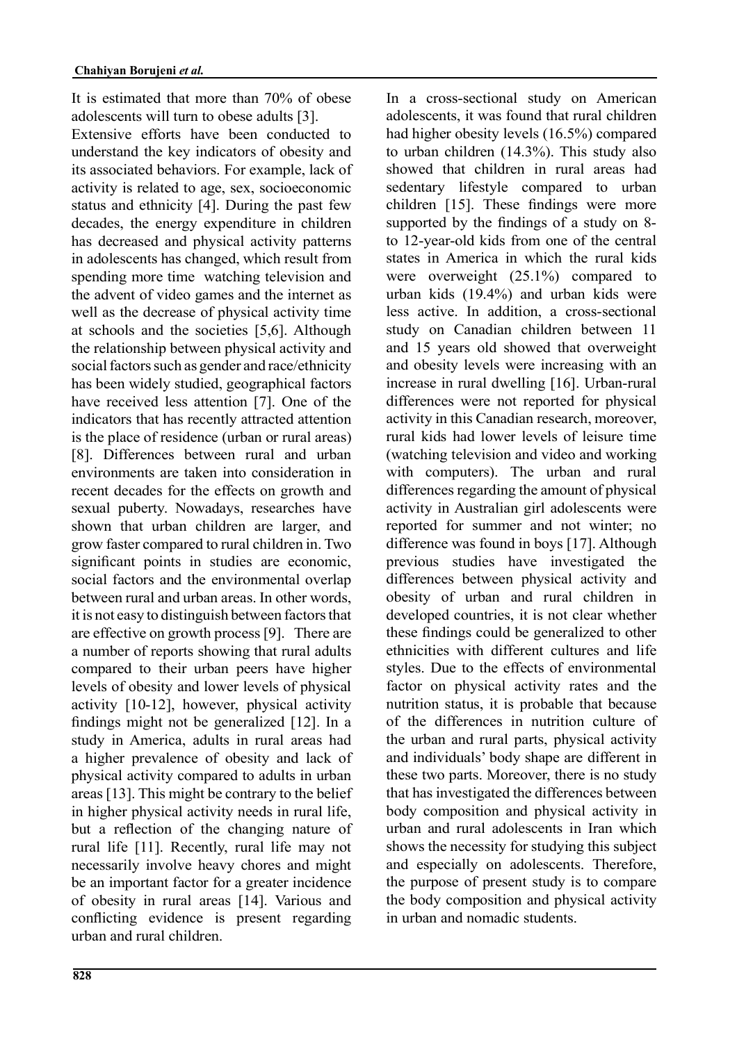It is estimated that more than 70% of obese adolescents will turn to obese adults [3].

Extensive efforts have been conducted to understand the key indicators of obesity and its associated behaviors. For example, lack of activity is related to age, sex, socioeconomic status and ethnicity [4]. During the past few decades, the energy expenditure in children has decreased and physical activity patterns in adolescents has changed, which result from spending more time watching television and the advent of video games and the internet as well as the decrease of physical activity time at schools and the societies [5,6]. Although the relationship between physical activity and social factors such as gender and race/ethnicity has been widely studied, geographical factors have received less attention [7]. One of the indicators that has recently attracted attention is the place of residence (urban or rural areas) [8]. Differences between rural and urban environments are taken into consideration in recent decades for the effects on growth and sexual puberty. Nowadays, researches have shown that urban children are larger, and grow faster compared to rural children in. Two significant points in studies are economic, social factors and the environmental overlap between rural and urban areas. In other words, it is not easy to distinguish between factors that are effective on growth process [9]. There are a number of reports showing that rural adults compared to their urban peers have higher levels of obesity and lower levels of physical activity [10-12], however, physical activity findings might not be generalized [12]. In a study in America, adults in rural areas had a higher prevalence of obesity and lack of physical activity compared to adults in urban areas [13]. This might be contrary to the belief in higher physical activity needs in rural life, but a reflection of the changing nature of rural life [11]. Recently, rural life may not necessarily involve heavy chores and might be an important factor for a greater incidence of obesity in rural areas [14]. Various and conflicting evidence is present regarding urban and rural children.

In a cross-sectional study on American adolescents, it was found that rural children had higher obesity levels (16.5%) compared to urban children (14.3%). This study also showed that children in rural areas had sedentary lifestyle compared to urban children [15]. These findings were more supported by the findings of a study on 8 to 12-year-old kids from one of the central states in America in which the rural kids were overweight (25.1%) compared to urban kids (19.4%) and urban kids were less active. In addition, a cross-sectional study on Canadian children between 11 and 15 years old showed that overweight and obesity levels were increasing with an increase in rural dwelling [16]. Urban-rural differences were not reported for physical activity in this Canadian research, moreover, rural kids had lower levels of leisure time (watching television and video and working with computers). The urban and rural differences regarding the amount of physical activity in Australian girl adolescents were reported for summer and not winter; no difference was found in boys [17]. Although previous studies have investigated the differences between physical activity and obesity of urban and rural children in developed countries, it is not clear whether these findings could be generalized to other ethnicities with different cultures and life styles. Due to the effects of environmental factor on physical activity rates and the nutrition status, it is probable that because of the differences in nutrition culture of the urban and rural parts, physical activity and individuals' body shape are different in these two parts. Moreover, there is no study that has investigated the differences between body composition and physical activity in urban and rural adolescents in Iran which shows the necessity for studying this subject and especially on adolescents. Therefore, the purpose of present study is to compare the body composition and physical activity in urban and nomadic students.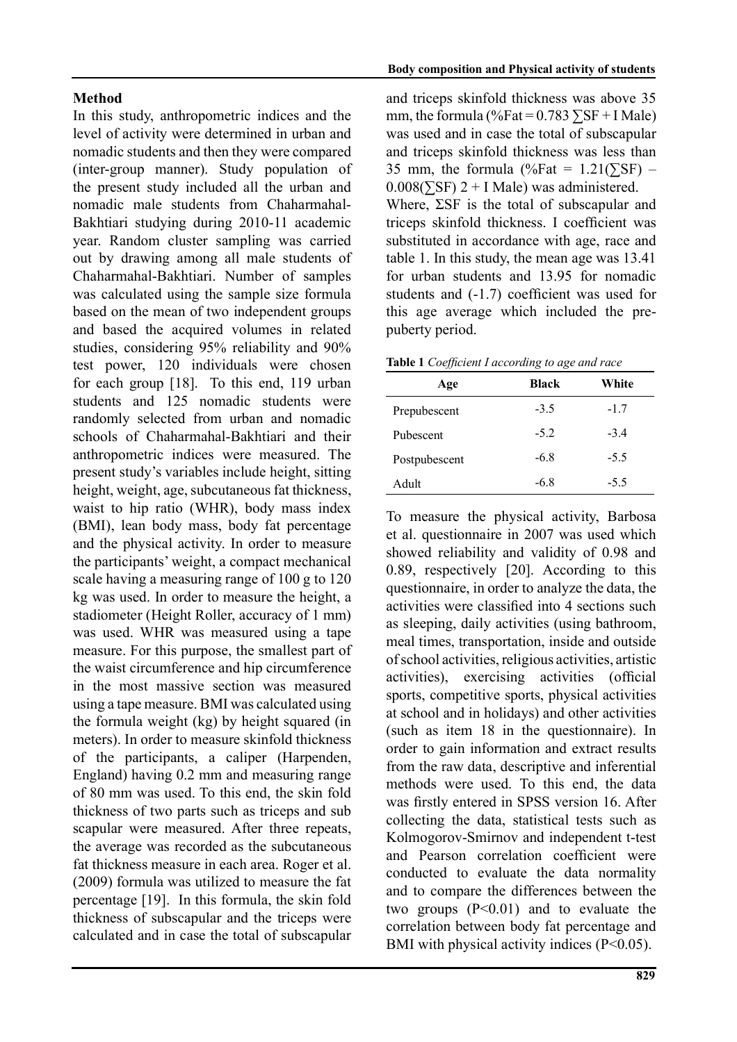## **Method**

In this study, anthropometric indices and the level of activity were determined in urban and nomadic students and then they were compared (inter-group manner). Study population of the present study included all the urban and nomadic male students from Chaharmahal-Bakhtiari studying during 2010-11 academic year. Random cluster sampling was carried out by drawing among all male students of Chaharmahal-Bakhtiari. Number of samples was calculated using the sample size formula based on the mean of two independent groups and based the acquired volumes in related studies, considering 95% reliability and 90% test power, 120 individuals were chosen for each group [18]. To this end, 119 urban students and 125 nomadic students were randomly selected from urban and nomadic schools of Chaharmahal-Bakhtiari and their anthropometric indices were measured. The present study's variables include height, sitting height, weight, age, subcutaneous fat thickness, waist to hip ratio (WHR), body mass index (BMI), lean body mass, body fat percentage and the physical activity. In order to measure the participants' weight, a compact mechanical scale having a measuring range of 100 g to 120 kg was used. In order to measure the height, a stadiometer (Height Roller, accuracy of 1 mm) was used. WHR was measured using a tape measure. For this purpose, the smallest part of the waist circumference and hip circumference in the most massive section was measured using a tape measure. BMI was calculated using the formula weight (kg) by height squared (in meters). In order to measure skinfold thickness of the participants, a caliper (Harpenden, England) having 0.2 mm and measuring range of 80 mm was used. To this end, the skin fold thickness of two parts such as triceps and sub scapular were measured. After three repeats, the average was recorded as the subcutaneous fat thickness measure in each area. Roger et al. (2009) formula was utilized to measure the fat percentage [19]. In this formula, the skin fold thickness of subscapular and the triceps were calculated and in case the total of subscapular and triceps skinfold thickness was above 35 mm, the formula (%Fat =  $0.783 \Sigma SF + I Male$ ) was used and in case the total of subscapular and triceps skinfold thickness was less than 35 mm, the formula (%Fat =  $1.21(\overline{\text{S}}\text{F})$  –  $0.008(\overline{\Sigma} S\overline{F})$  2 + I Male) was administered.

Where, ΣSF is the total of subscapular and triceps skinfold thickness. I coefficient was substituted in accordance with age, race and table 1. In this study, the mean age was 13.41 for urban students and 13.95 for nomadic students and (-1.7) coefficient was used for this age average which included the prepuberty period.

| Table 1 Coefficient I according to age and race |  |  |
|-------------------------------------------------|--|--|
|-------------------------------------------------|--|--|

| Age           | <b>Black</b> | White  |
|---------------|--------------|--------|
| Prepubescent  | $-3.5$       | $-1.7$ |
| Pubescent     | $-5.2$       | $-34$  |
| Postpubescent | $-6.8$       | $-5.5$ |
| Adult         | -68          | $-5.5$ |

To measure the physical activity, Barbosa et al. questionnaire in 2007 was used which showed reliability and validity of 0.98 and 0.89, respectively [20]. According to this questionnaire, in order to analyze the data, the activities were classified into 4 sections such as sleeping, daily activities (using bathroom, meal times, transportation, inside and outside of school activities, religious activities, artistic activities), exercising activities (official sports, competitive sports, physical activities at school and in holidays) and other activities (such as item 18 in the questionnaire). In order to gain information and extract results from the raw data, descriptive and inferential methods were used. To this end, the data was firstly entered in SPSS version 16. After collecting the data, statistical tests such as Kolmogorov-Smirnov and independent t-test and Pearson correlation coefficient were conducted to evaluate the data normality and to compare the differences between the two groups (P<0.01) and to evaluate the correlation between body fat percentage and BMI with physical activity indices  $(P<0.05)$ .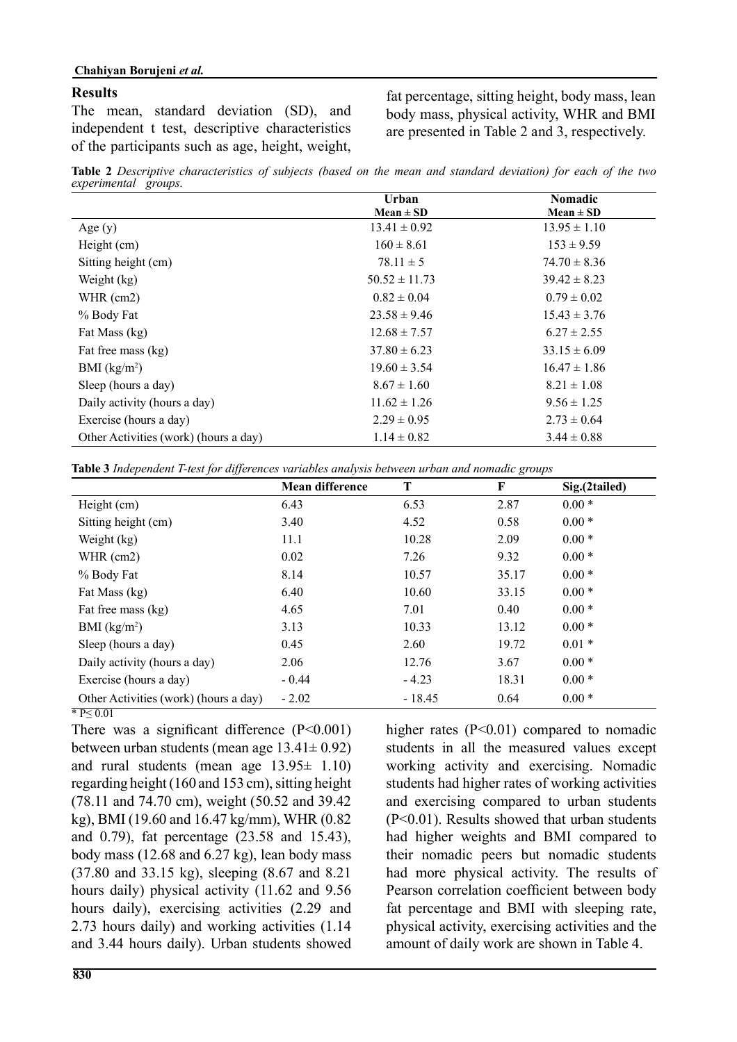#### **Results**

The mean, standard deviation (SD), and independent t test, descriptive characteristics of the participants such as age, height, weight, fat percentage, sitting height, body mass, lean body mass, physical activity, WHR and BMI are presented in Table 2 and 3, respectively.

**Table 2** *Descriptive characteristics of subjects (based on the mean and standard deviation) for each of the two experimental groups.*

|                                       | Urban             | <b>Nomadic</b>   |  |
|---------------------------------------|-------------------|------------------|--|
|                                       | $Mean \pm SD$     | $Mean \pm SD$    |  |
| Age $(y)$                             | $13.41 \pm 0.92$  | $13.95 \pm 1.10$ |  |
| Height (cm)                           | $160 \pm 8.61$    | $153 \pm 9.59$   |  |
| Sitting height (cm)                   | $78.11 \pm 5$     | $74.70 \pm 8.36$ |  |
| Weight (kg)                           | $50.52 \pm 11.73$ | $39.42 \pm 8.23$ |  |
| WHR (cm2)                             | $0.82 \pm 0.04$   | $0.79 \pm 0.02$  |  |
| % Body Fat                            | $23.58 \pm 9.46$  | $15.43 \pm 3.76$ |  |
| Fat Mass (kg)                         | $12.68 \pm 7.57$  | $6.27 \pm 2.55$  |  |
| Fat free mass (kg)                    | $37.80 \pm 6.23$  | $33.15 \pm 6.09$ |  |
| BMI $(kg/m2)$                         | $19.60 \pm 3.54$  | $16.47 \pm 1.86$ |  |
| Sleep (hours a day)                   | $8.67 \pm 1.60$   | $8.21 \pm 1.08$  |  |
| Daily activity (hours a day)          | $11.62 \pm 1.26$  | $9.56 \pm 1.25$  |  |
| Exercise (hours a day)                | $2.29 \pm 0.95$   | $2.73 \pm 0.64$  |  |
| Other Activities (work) (hours a day) | $1.14 \pm 0.82$   | $3.44 \pm 0.88$  |  |

**Table 3** *Independent T-test for differences variables analysis between urban and nomadic groups*

|                                       | <b>Mean difference</b> | T        | F     | Sig.(2tailed) |
|---------------------------------------|------------------------|----------|-------|---------------|
| Height (cm)                           | 6.43                   | 6.53     | 2.87  | $0.00*$       |
| Sitting height (cm)                   | 3.40                   | 4.52     | 0.58  | $0.00*$       |
| Weight (kg)                           | 11.1                   | 10.28    | 2.09  | $0.00*$       |
| WHR $(cm2)$                           | 0.02                   | 7.26     | 9.32  | $0.00*$       |
| % Body Fat                            | 8.14                   | 10.57    | 35.17 | $0.00*$       |
| Fat Mass (kg)                         | 6.40                   | 10.60    | 33.15 | $0.00*$       |
| Fat free mass (kg)                    | 4.65                   | 7.01     | 0.40  | $0.00*$       |
| BMI $(kg/m2)$                         | 3.13                   | 10.33    | 13.12 | $0.00*$       |
| Sleep (hours a day)                   | 0.45                   | 2.60     | 19.72 | $0.01 *$      |
| Daily activity (hours a day)          | 2.06                   | 12.76    | 3.67  | $0.00*$       |
| Exercise (hours a day)                | $-0.44$                | $-4.23$  | 18.31 | $0.00*$       |
| Other Activities (work) (hours a day) | $-2.02$                | $-18.45$ | 0.64  | $0.00*$       |

\* P≤ 0.01

There was a significant difference (P<0.001) between urban students (mean age  $13.41 \pm 0.92$ ) and rural students (mean age  $13.95 \pm 1.10$ ) regarding height (160 and 153 cm), sitting height (78.11 and 74.70 cm), weight (50.52 and 39.42 kg), BMI (19.60 and 16.47 kg/mm), WHR (0.82 and 0.79), fat percentage (23.58 and 15.43), body mass (12.68 and 6.27 kg), lean body mass (37.80 and 33.15 kg), sleeping (8.67 and 8.21 hours daily) physical activity (11.62 and 9.56 hours daily), exercising activities (2.29 and 2.73 hours daily) and working activities (1.14 and 3.44 hours daily). Urban students showed higher rates  $(P<0.01)$  compared to nomadic students in all the measured values except working activity and exercising. Nomadic students had higher rates of working activities and exercising compared to urban students (P<0.01). Results showed that urban students had higher weights and BMI compared to their nomadic peers but nomadic students had more physical activity. The results of Pearson correlation coefficient between body fat percentage and BMI with sleeping rate, physical activity, exercising activities and the amount of daily work are shown in Table 4.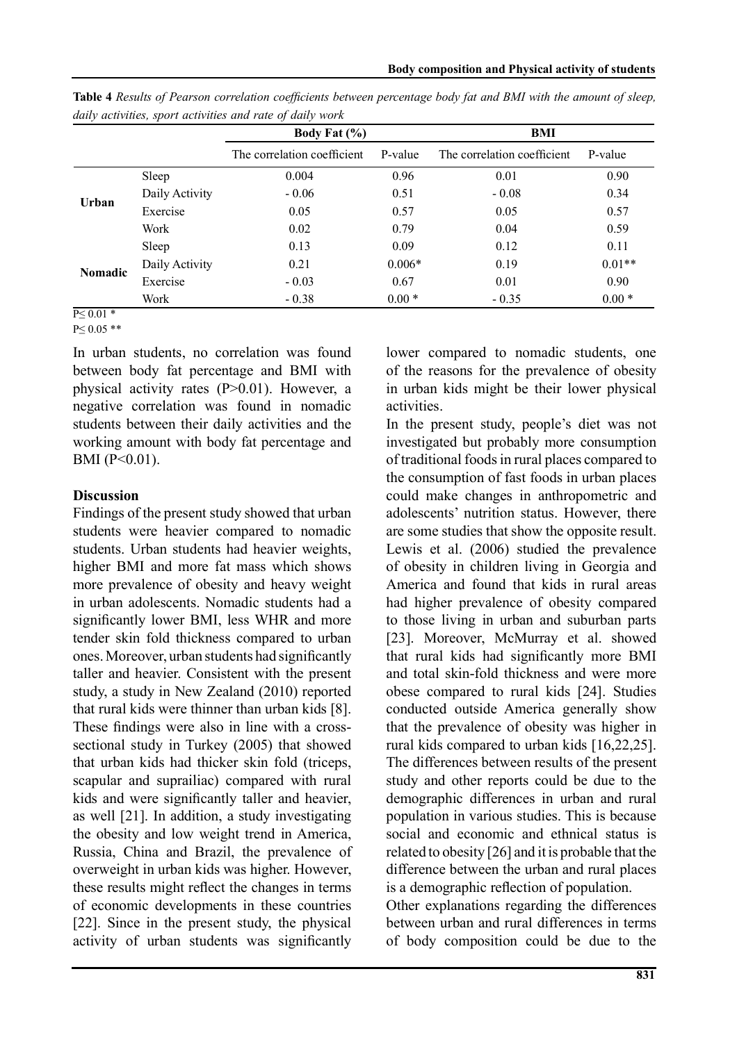|                |                | Body Fat $(\% )$            |          | BMI                         |          |
|----------------|----------------|-----------------------------|----------|-----------------------------|----------|
|                |                | The correlation coefficient | P-value  | The correlation coefficient | P-value  |
| Urban          | Sleep          | 0.004                       | 0.96     | 0.01                        | 0.90     |
|                | Daily Activity | $-0.06$                     | 0.51     | $-0.08$                     | 0.34     |
|                | Exercise       | 0.05                        | 0.57     | 0.05                        | 0.57     |
|                | Work           | 0.02                        | 0.79     | 0.04                        | 0.59     |
| <b>Nomadic</b> | Sleep          | 0.13                        | 0.09     | 0.12                        | 0.11     |
|                | Daily Activity | 0.21                        | $0.006*$ | 0.19                        | $0.01**$ |
|                | Exercise       | $-0.03$                     | 0.67     | 0.01                        | 0.90     |
|                | Work           | $-0.38$                     | $0.00*$  | $-0.35$                     | $0.00*$  |

**Table 4** *Results of Pearson correlation coefficients between percentage body fat and BMI with the amount of sleep, daily activities, sport activities and rate of daily work*

 $P \leq 0.01$  \*

P≤ 0.05 \*\*

In urban students, no correlation was found between body fat percentage and BMI with physical activity rates  $(P>0.01)$ . However, a negative correlation was found in nomadic students between their daily activities and the working amount with body fat percentage and BMI (P<0.01).

# **Discussion**

Findings of the present study showed that urban students were heavier compared to nomadic students. Urban students had heavier weights, higher BMI and more fat mass which shows more prevalence of obesity and heavy weight in urban adolescents. Nomadic students had a significantly lower BMI, less WHR and more tender skin fold thickness compared to urban ones. Moreover, urban students had significantly taller and heavier. Consistent with the present study, a study in New Zealand (2010) reported that rural kids were thinner than urban kids [8]. These findings were also in line with a crosssectional study in Turkey (2005) that showed that urban kids had thicker skin fold (triceps, scapular and suprailiac) compared with rural kids and were significantly taller and heavier, as well [21]. In addition, a study investigating the obesity and low weight trend in America, Russia, China and Brazil, the prevalence of overweight in urban kids was higher. However, these results might reflect the changes in terms of economic developments in these countries [22]. Since in the present study, the physical activity of urban students was significantly lower compared to nomadic students, one of the reasons for the prevalence of obesity in urban kids might be their lower physical activities.

In the present study, people's diet was not investigated but probably more consumption of traditional foods in rural places compared to the consumption of fast foods in urban places could make changes in anthropometric and adolescents' nutrition status. However, there are some studies that show the opposite result. Lewis et al. (2006) studied the prevalence of obesity in children living in Georgia and America and found that kids in rural areas had higher prevalence of obesity compared to those living in urban and suburban parts [23]. Moreover, McMurray et al. showed that rural kids had significantly more BMI and total skin-fold thickness and were more obese compared to rural kids [24]. Studies conducted outside America generally show that the prevalence of obesity was higher in rural kids compared to urban kids [16,22,25]. The differences between results of the present study and other reports could be due to the demographic differences in urban and rural population in various studies. This is because social and economic and ethnical status is related to obesity [26] and it is probable that the difference between the urban and rural places is a demographic reflection of population.

Other explanations regarding the differences between urban and rural differences in terms of body composition could be due to the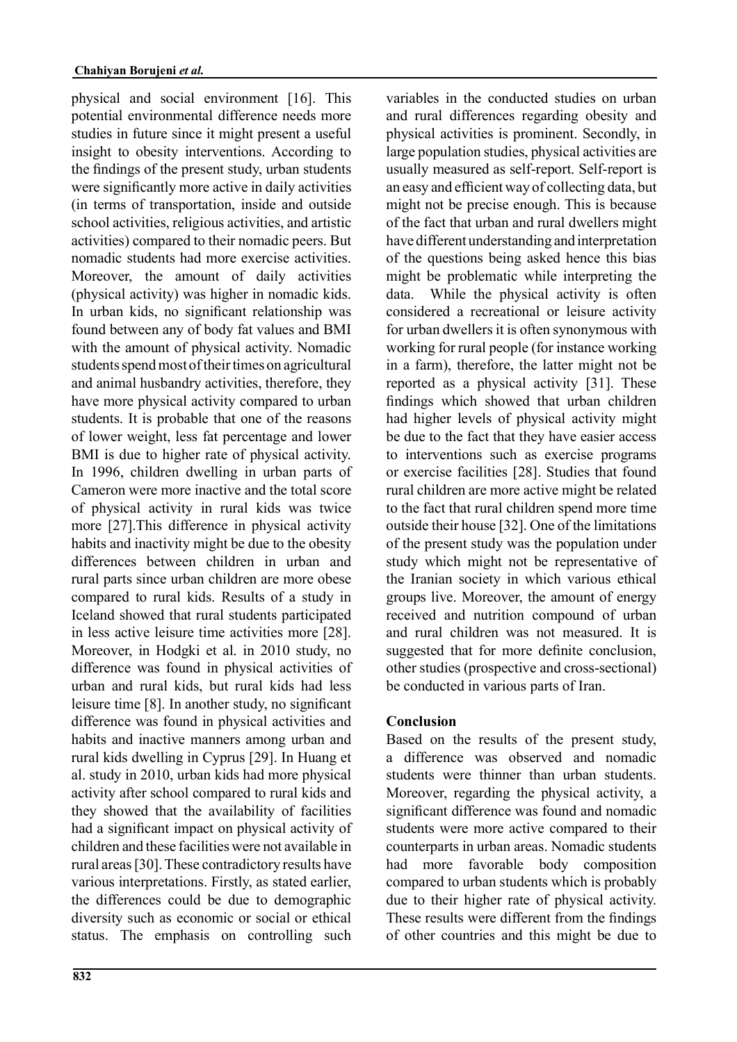physical and social environment [16]. This potential environmental difference needs more studies in future since it might present a useful insight to obesity interventions. According to the findings of the present study, urban students were significantly more active in daily activities (in terms of transportation, inside and outside school activities, religious activities, and artistic activities) compared to their nomadic peers. But nomadic students had more exercise activities. Moreover, the amount of daily activities (physical activity) was higher in nomadic kids. In urban kids, no significant relationship was found between any of body fat values and BMI with the amount of physical activity. Nomadic students spend most of their times on agricultural and animal husbandry activities, therefore, they have more physical activity compared to urban students. It is probable that one of the reasons of lower weight, less fat percentage and lower BMI is due to higher rate of physical activity. In 1996, children dwelling in urban parts of Cameron were more inactive and the total score of physical activity in rural kids was twice more [27].This difference in physical activity habits and inactivity might be due to the obesity differences between children in urban and rural parts since urban children are more obese compared to rural kids. Results of a study in Iceland showed that rural students participated in less active leisure time activities more [28]. Moreover, in Hodgki et al. in 2010 study, no difference was found in physical activities of urban and rural kids, but rural kids had less leisure time [8]. In another study, no significant difference was found in physical activities and habits and inactive manners among urban and rural kids dwelling in Cyprus [29]. In Huang et al. study in 2010, urban kids had more physical activity after school compared to rural kids and they showed that the availability of facilities had a significant impact on physical activity of children and these facilities were not available in rural areas [30]. These contradictory results have various interpretations. Firstly, as stated earlier, the differences could be due to demographic diversity such as economic or social or ethical status. The emphasis on controlling such variables in the conducted studies on urban and rural differences regarding obesity and physical activities is prominent. Secondly, in large population studies, physical activities are usually measured as self-report. Self-report is an easy and efficient way of collecting data, but might not be precise enough. This is because of the fact that urban and rural dwellers might have different understanding and interpretation of the questions being asked hence this bias might be problematic while interpreting the data. While the physical activity is often considered a recreational or leisure activity for urban dwellers it is often synonymous with working for rural people (for instance working in a farm), therefore, the latter might not be reported as a physical activity [31]. These findings which showed that urban children had higher levels of physical activity might be due to the fact that they have easier access to interventions such as exercise programs or exercise facilities [28]. Studies that found rural children are more active might be related to the fact that rural children spend more time outside their house [32]. One of the limitations of the present study was the population under study which might not be representative of the Iranian society in which various ethical groups live. Moreover, the amount of energy received and nutrition compound of urban and rural children was not measured. It is suggested that for more definite conclusion, other studies (prospective and cross-sectional) be conducted in various parts of Iran.

## **Conclusion**

Based on the results of the present study, a difference was observed and nomadic students were thinner than urban students. Moreover, regarding the physical activity, a significant difference was found and nomadic students were more active compared to their counterparts in urban areas. Nomadic students had more favorable body composition compared to urban students which is probably due to their higher rate of physical activity. These results were different from the findings of other countries and this might be due to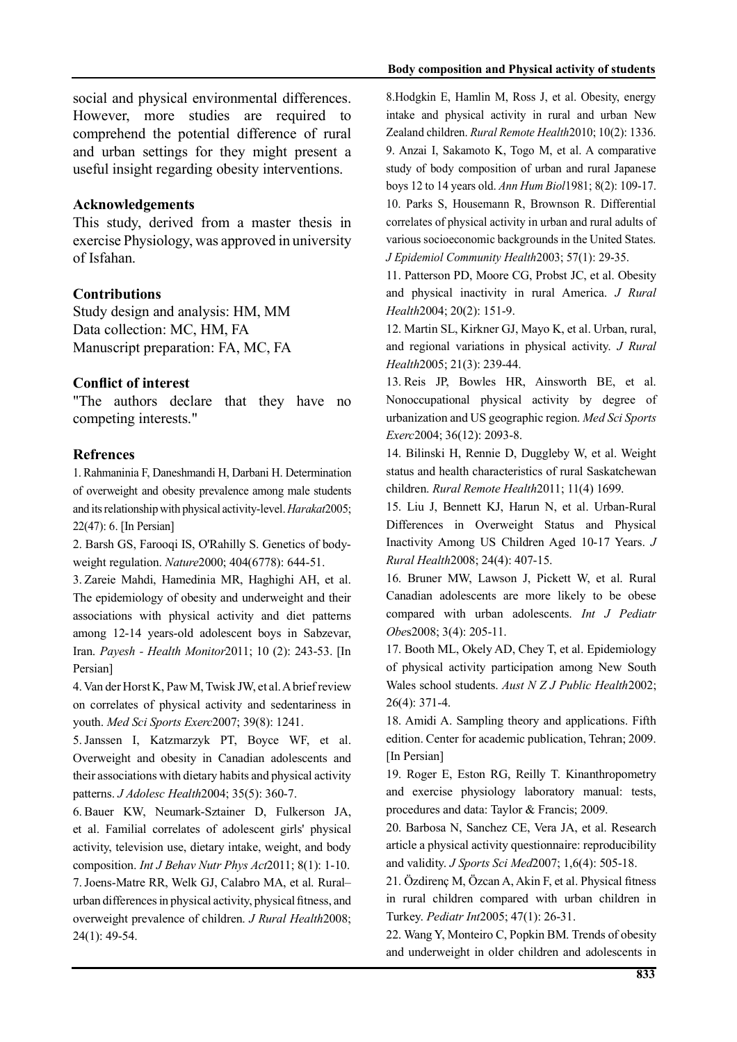social and physical environmental differences. However, more studies are required to comprehend the potential difference of rural and urban settings for they might present a useful insight regarding obesity interventions.

#### **Acknowledgements**

This study, derived from a master thesis in exercise Physiology, was approved in university of Isfahan.

### **Contributions**

Study design and analysis: HM, MM Data collection: MC, HM, FA Manuscript preparation: FA, MC, FA

## **Conflict of interest**

"The authors declare that they have no competing interests."

### **Refrences**

1. Rahmaninia F, Daneshmandi H, Darbani H. Determination of overweight and obesity prevalence among male students and its relationship with physical activity-level. *Harakat*2005; 22(47): 6. [In Persian]

2. Barsh GS, Farooqi IS, O'Rahilly S. Genetics of bodyweight regulation. *Nature*2000; 404(6778): 644-51.

3. Zareie Mahdi, Hamedinia MR, Haghighi AH, et al. The epidemiology of obesity and underweight and their associations with physical activity and diet patterns among 12-14 years-old adolescent boys in Sabzevar, Iran. *Payesh - Health Monitor*2011; 10 (2): 243-53. [In Persian]

4. Van der Horst K, Paw M, Twisk JW, et al. A brief review on correlates of physical activity and sedentariness in youth. *Med Sci Sports Exerc*2007; 39(8): 1241.

5. Janssen I, Katzmarzyk PT, Boyce WF, et al. Overweight and obesity in Canadian adolescents and their associations with dietary habits and physical activity patterns. *J Adolesc Health*2004; 35(5): 360-7.

6. Bauer KW, Neumark-Sztainer D, Fulkerson JA, et al. Familial correlates of adolescent girls' physical activity, television use, dietary intake, weight, and body composition. *Int J Behav Nutr Phys Act*2011; 8(1): 1-10. 7. Joens-Matre RR, Welk GJ, Calabro MA, et al. Rural– urban differences in physical activity, physical fitness, and overweight prevalence of children. *J Rural Health*2008; 24(1): 49-54.

8.Hodgkin E, Hamlin M, Ross J, et al. Obesity, energy intake and physical activity in rural and urban New Zealand children. *Rural Remote Health*2010; 10(2): 1336. 9. Anzai I, Sakamoto K, Togo M, et al. A comparative study of body composition of urban and rural Japanese boys 12 to 14 years old. *Ann Hum Biol*1981; 8(2): 109-17. 10. Parks S, Housemann R, Brownson R. Differential correlates of physical activity in urban and rural adults of various socioeconomic backgrounds in the United States. *J Epidemiol Community Health*2003; 57(1): 29-35.

11. Patterson PD, Moore CG, Probst JC, et al. Obesity and physical inactivity in rural America. *J Rural Health*2004; 20(2): 151-9.

12. Martin SL, Kirkner GJ, Mayo K, et al. Urban, rural, and regional variations in physical activity. *J Rural Health*2005; 21(3): 239-44.

13. Reis JP, Bowles HR, Ainsworth BE, et al. Nonoccupational physical activity by degree of urbanization and US geographic region. *Med Sci Sports Exerc*2004; 36(12): 2093-8.

14. Bilinski H, Rennie D, Duggleby W, et al. Weight status and health characteristics of rural Saskatchewan children. *Rural Remote Health*2011; 11(4) 1699.

15. Liu J, Bennett KJ, Harun N, et al. Urban-Rural Differences in Overweight Status and Physical Inactivity Among US Children Aged 10-17 Years. *J Rural Health*2008; 24(4): 407-15.

16. Bruner MW, Lawson J, Pickett W, et al. Rural Canadian adolescents are more likely to be obese compared with urban adolescents. *Int J Pediatr Obe*s2008; 3(4): 205-11.

17. Booth ML, Okely AD, Chey T, et al. Epidemiology of physical activity participation among New South Wales school students. *Aust N Z J Public Health*2002; 26(4): 371-4.

18. Amidi A. Sampling theory and applications. Fifth edition. Center for academic publication, Tehran; 2009. [In Persian]

19. Roger E, Eston RG, Reilly T. Kinanthropometry and exercise physiology laboratory manual: tests, procedures and data: Taylor & Francis; 2009.

20. Barbosa N, Sanchez CE, Vera JA, et al. Research article a physical activity questionnaire: reproducibility and validity. *J Sports Sci Med*2007; 1,6(4): 505-18.

21. Özdirenç M, Özcan A, Akin F, et al. Physical fitness in rural children compared with urban children in Turkey. *Pediatr Int*2005; 47(1): 26-31.

22. Wang Y, Monteiro C, Popkin BM. Trends of obesity and underweight in older children and adolescents in